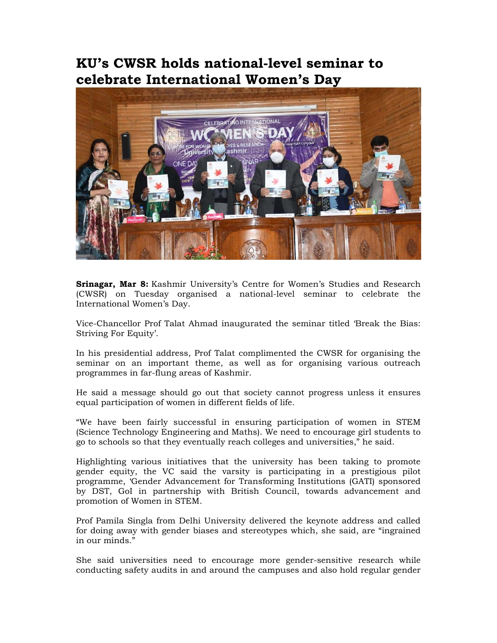## **KU's CWSR holds national-level seminar to celebrate International Women's Day**



**Srinagar, Mar 8:** Kashmir University's Centre for Women's Studies and Research (CWSR) on Tuesday organised a national-level seminar to celebrate the International Women's Day.

Vice-Chancellor Prof Talat Ahmad inaugurated the seminar titled 'Break the Bias: Striving For Equity'.

In his presidential address, Prof Talat complimented the CWSR for organising the seminar on an important theme, as well as for organising various outreach programmes in far-flung areas of Kashmir.

He said a message should go out that society cannot progress unless it ensures equal participation of women in different fields of life.

"We have been fairly successful in ensuring participation of women in STEM (Science Technology Engineering and Maths). We need to encourage girl students to go to schools so that they eventually reach colleges and universities," he said.

Highlighting various initiatives that the university has been taking to promote gender equity, the VC said the varsity is participating in a prestigious pilot programme, 'Gender Advancement for Transforming Institutions (GATI) sponsored by DST, GoI in partnership with British Council, towards advancement and promotion of Women in STEM.

Prof Pamila Singla from Delhi University delivered the keynote address and called for doing away with gender biases and stereotypes which, she said, are "ingrained in our minds."

She said universities need to encourage more gender-sensitive research while conducting safety audits in and around the campuses and also hold regular gender